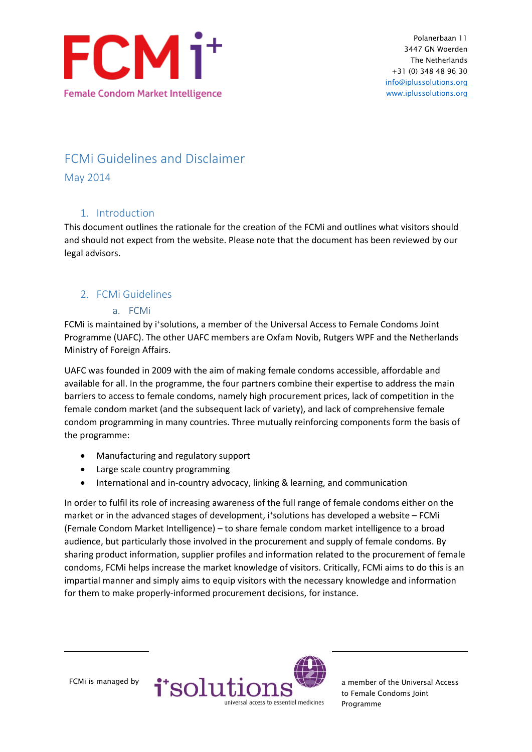

# FCMi Guidelines and Disclaimer

May 2014

# 1. Introduction

This document outlines the rationale for the creation of the FCMi and outlines what visitors should and should not expect from the website. Please note that the document has been reviewed by our legal advisors.

# 2. FCMi Guidelines

#### a. FCMi

FCMi is maintained by i<sup>+</sup>solutions, a member of the Universal Access to Female Condoms Joint Programme (UAFC). The other UAFC members are Oxfam Novib, Rutgers WPF and the Netherlands Ministry of Foreign Affairs.

UAFC was founded in 2009 with the aim of making female condoms accessible, affordable and available for all. In the programme, the four partners combine their expertise to address the main barriers to access to female condoms, namely high procurement prices, lack of competition in the female condom market (and the subsequent lack of variety), and lack of comprehensive female condom programming in many countries. Three mutually reinforcing components form the basis of the programme:

- Manufacturing and regulatory support
- Large scale country programming
- International and in-country advocacy, linking & learning, and communication

In order to fulfil its role of increasing awareness of the full range of female condoms either on the market or in the advanced stages of development, i<sup>+</sup>solutions has developed a website - FCMi (Female Condom Market Intelligence) – to share female condom market intelligence to a broad audience, but particularly those involved in the procurement and supply of female condoms. By sharing product information, supplier profiles and information related to the procurement of female condoms, FCMi helps increase the market knowledge of visitors. Critically, FCMi aims to do this is an impartial manner and simply aims to equip visitors with the necessary knowledge and information for them to make properly-informed procurement decisions, for instance.



to Female Condoms Joint Programme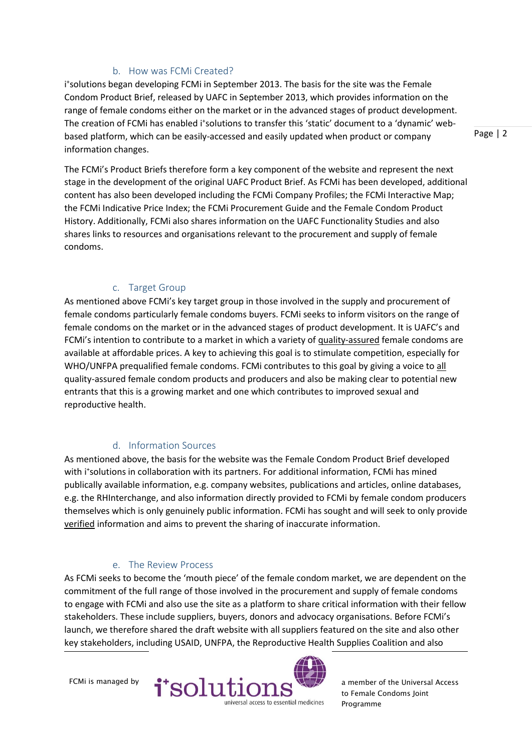#### b. How was FCMi Created?

i + solutions began developing FCMi in September 2013. The basis for the site was the Female Condom Product Brief, released by UAFC in September 2013, which provides information on the range of female condoms either on the market or in the advanced stages of product development. The creation of FCMi has enabled i<sup>+</sup>solutions to transfer this 'static' document to a 'dynamic' webbased platform, which can be easily-accessed and easily updated when product or company information changes.

Page | 2

The FCMi's Product Briefs therefore form a key component of the website and represent the next stage in the development of the original UAFC Product Brief. As FCMi has been developed, additional content has also been developed including the FCMi Company Profiles; the FCMi Interactive Map; the FCMi Indicative Price Index; the FCMi Procurement Guide and the Female Condom Product History. Additionally, FCMi also shares information on the UAFC Functionality Studies and also shares links to resources and organisations relevant to the procurement and supply of female condoms.

### c. Target Group

As mentioned above FCMi's key target group in those involved in the supply and procurement of female condoms particularly female condoms buyers. FCMi seeks to inform visitors on the range of female condoms on the market or in the advanced stages of product development. It is UAFC's and FCMi's intention to contribute to a market in which a variety of quality-assured female condoms are available at affordable prices. A key to achieving this goal is to stimulate competition, especially for WHO/UNFPA prequalified female condoms. FCMi contributes to this goal by giving a voice to all quality-assured female condom products and producers and also be making clear to potential new entrants that this is a growing market and one which contributes to improved sexual and reproductive health.

### d. Information Sources

As mentioned above, the basis for the website was the Female Condom Product Brief developed with i<sup>+</sup>solutions in collaboration with its partners. For additional information, FCMi has mined publically available information, e.g. company websites, publications and articles, online databases, e.g. the RHInterchange, and also information directly provided to FCMi by female condom producers themselves which is only genuinely public information. FCMi has sought and will seek to only provide verified information and aims to prevent the sharing of inaccurate information.

### e. The Review Process

As FCMi seeks to become the 'mouth piece' of the female condom market, we are dependent on the commitment of the full range of those involved in the procurement and supply of female condoms to engage with FCMi and also use the site as a platform to share critical information with their fellow stakeholders. These include suppliers, buyers, donors and advocacy organisations. Before FCMi's launch, we therefore shared the draft website with all suppliers featured on the site and also other key stakeholders, including USAID, UNFPA, the Reproductive Health Supplies Coalition and also



to Female Condoms Joint Programme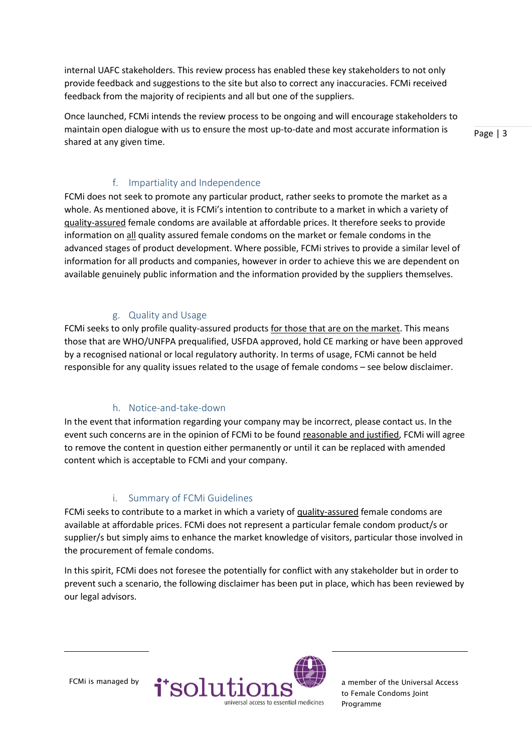internal UAFC stakeholders. This review process has enabled these key stakeholders to not only provide feedback and suggestions to the site but also to correct any inaccuracies. FCMi received feedback from the majority of recipients and all but one of the suppliers.

Once launched, FCMi intends the review process to be ongoing and will encourage stakeholders to maintain open dialogue with us to ensure the most up-to-date and most accurate information is shared at any given time.

Page | 3

### f. Impartiality and Independence

FCMi does not seek to promote any particular product, rather seeks to promote the market as a whole. As mentioned above, it is FCMi's intention to contribute to a market in which a variety of quality-assured female condoms are available at affordable prices. It therefore seeks to provide information on all quality assured female condoms on the market or female condoms in the advanced stages of product development. Where possible, FCMi strives to provide a similar level of information for all products and companies, however in order to achieve this we are dependent on available genuinely public information and the information provided by the suppliers themselves.

### g. Quality and Usage

FCMi seeks to only profile quality-assured products for those that are on the market. This means those that are WHO/UNFPA prequalified, USFDA approved, hold CE marking or have been approved by a recognised national or local regulatory authority. In terms of usage, FCMi cannot be held responsible for any quality issues related to the usage of female condoms – see below disclaimer.

# h. Notice-and-take-down

In the event that information regarding your company may be incorrect, please contact us. In the event such concerns are in the opinion of FCMi to be found reasonable and justified, FCMi will agree to remove the content in question either permanently or until it can be replaced with amended content which is acceptable to FCMi and your company.

### i. Summary of FCMi Guidelines

FCMi seeks to contribute to a market in which a variety of quality-assured female condoms are available at affordable prices. FCMi does not represent a particular female condom product/s or supplier/s but simply aims to enhance the market knowledge of visitors, particular those involved in the procurement of female condoms.

In this spirit, FCMi does not foresee the potentially for conflict with any stakeholder but in order to prevent such a scenario, the following disclaimer has been put in place, which has been reviewed by our legal advisors.



to Female Condoms Joint Programme